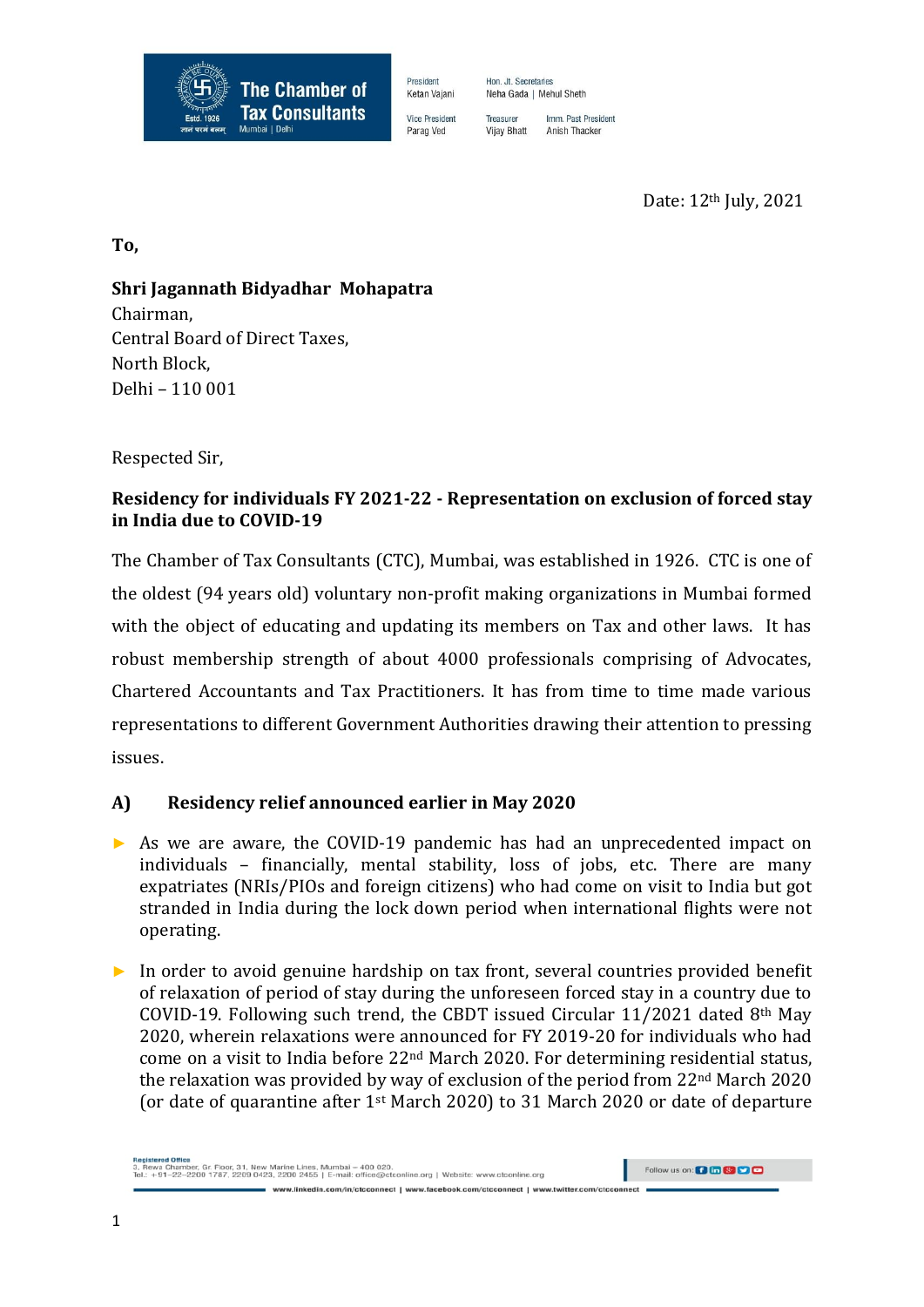

President Ketan Vajani **Vice President** Parag Ved

Hon, Jt. Secretaries Neha Gada | Mehul Sheth

Imm. Past President Treasurer Anish Thacker **Vijay Bhatt** 

Date: 12th July, 2021

**To,**

# **Shri Jagannath Bidyadhar Mohapatra**

Chairman, Central Board of Direct Taxes, North Block, Delhi – 110 001

Respected Sir,

## **Residency for individuals FY 2021-22 - Representation on exclusion of forced stay in India due to COVID-19**

The Chamber of Tax Consultants (CTC), Mumbai, was established in 1926. CTC is one of the oldest (94 years old) voluntary non-profit making organizations in Mumbai formed with the object of educating and updating its members on Tax and other laws. It has robust membership strength of about 4000 professionals comprising of Advocates, Chartered Accountants and Tax Practitioners. It has from time to time made various representations to different Government Authorities drawing their attention to pressing issues.

### **A) Residency relief announced earlier in May 2020**

- ► As we are aware, the COVID-19 pandemic has had an unprecedented impact on individuals – financially, mental stability, loss of jobs, etc. There are many expatriates (NRIs/PIOs and foreign citizens) who had come on visit to India but got stranded in India during the lock down period when international flights were not operating.
- ► In order to avoid genuine hardship on tax front, several countries provided benefit of relaxation of period of stay during the unforeseen forced stay in a country due to COVID-19. Following such trend, the CBDT issued Circular  $11/2021$  dated 8<sup>th</sup> May 2020, wherein relaxations were announced for FY 2019-20 for individuals who had come on a visit to India before 22nd March 2020. For determining residential status, the relaxation was provided by way of exclusion of the period from 22nd March 2020 (or date of quarantine after 1st March 2020) to 31 March 2020 or date of departure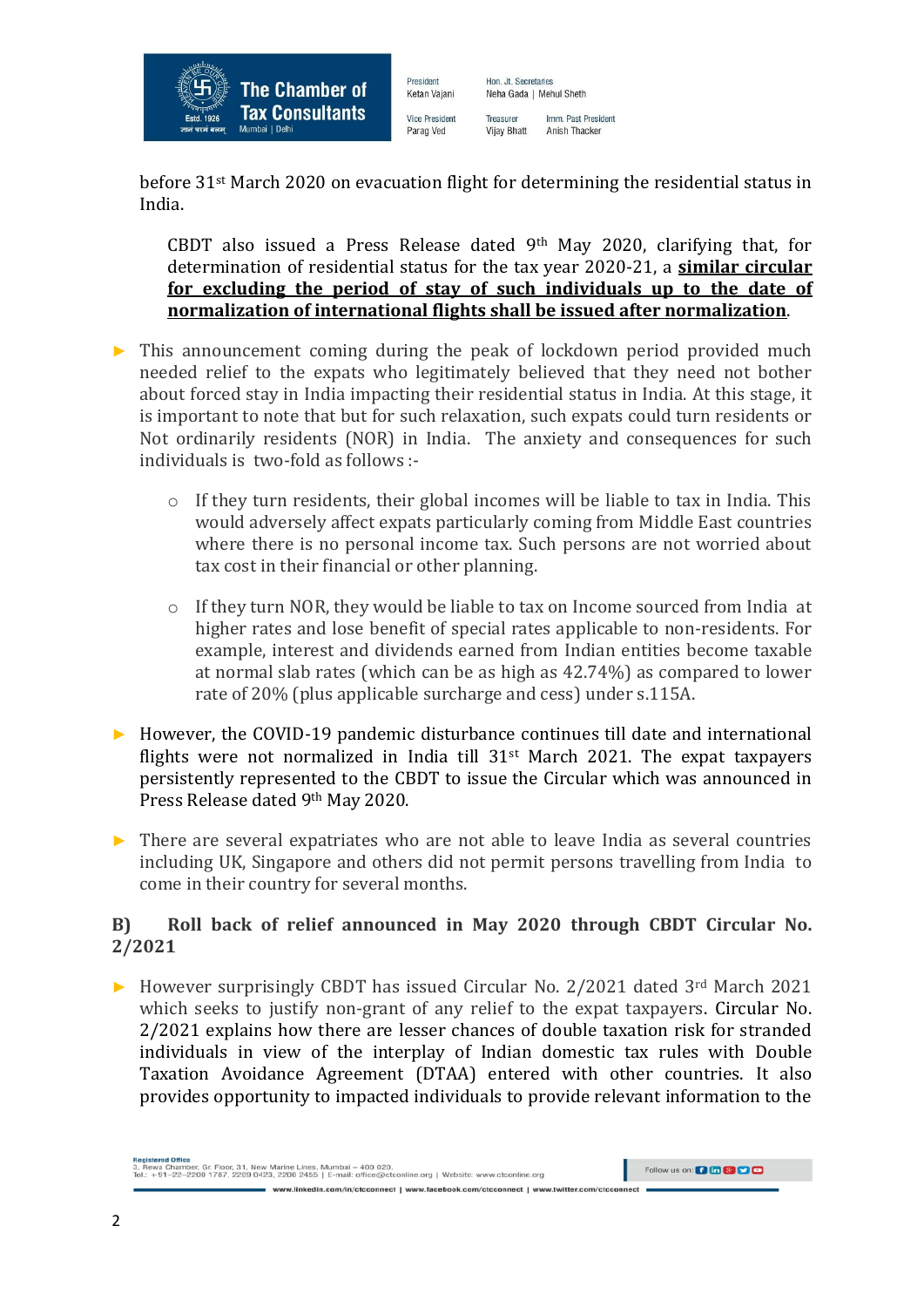

Ketan Vajani **Vice President** Parag Ved

President

Neha Gada | Mehul Sheth Imm. Past President Treasurer Anish Thacker **Vijay Bhatt** 

Hon, Jt. Secretaries

before 31st March 2020 on evacuation flight for determining the residential status in India.

CBDT also issued a Press Release dated 9th May 2020, clarifying that, for determination of residential status for the tax year 2020-21, a **similar circular for excluding the period of stay of such individuals up to the date of normalization of international flights shall be issued after normalization**.

- $\triangleright$  This announcement coming during the peak of lockdown period provided much needed relief to the expats who legitimately believed that they need not bother about forced stay in India impacting their residential status in India. At this stage, it is important to note that but for such relaxation, such expats could turn residents or Not ordinarily residents (NOR) in India. The anxiety and consequences for such individuals is two-fold as follows :
	- o If they turn residents, their global incomes will be liable to tax in India. This would adversely affect expats particularly coming from Middle East countries where there is no personal income tax. Such persons are not worried about tax cost in their financial or other planning.
	- o If they turn NOR, they would be liable to tax on Income sourced from India at higher rates and lose benefit of special rates applicable to non-residents. For example, interest and dividends earned from Indian entities become taxable at normal slab rates (which can be as high as 42.74%) as compared to lower rate of 20% (plus applicable surcharge and cess) under s.115A.
- ► However, the COVID-19 pandemic disturbance continues till date and international flights were not normalized in India till  $31<sup>st</sup>$  March 2021. The expat taxpayers persistently represented to the CBDT to issue the Circular which was announced in Press Release dated 9th May 2020.
- $\triangleright$  There are several expatriates who are not able to leave India as several countries including UK, Singapore and others did not permit persons travelling from India to come in their country for several months.

#### **B) Roll back of relief announced in May 2020 through CBDT Circular No. 2/2021**

► However surprisingly CBDT has issued Circular No. 2/2021 dated 3rd March 2021 which seeks to justify non-grant of any relief to the expat taxpayers. Circular No. 2/2021 explains how there are lesser chances of double taxation risk for stranded individuals in view of the interplay of Indian domestic tax rules with Double Taxation Avoidance Agreement (DTAA) entered with other countries. It also provides opportunity to impacted individuals to provide relevant information to the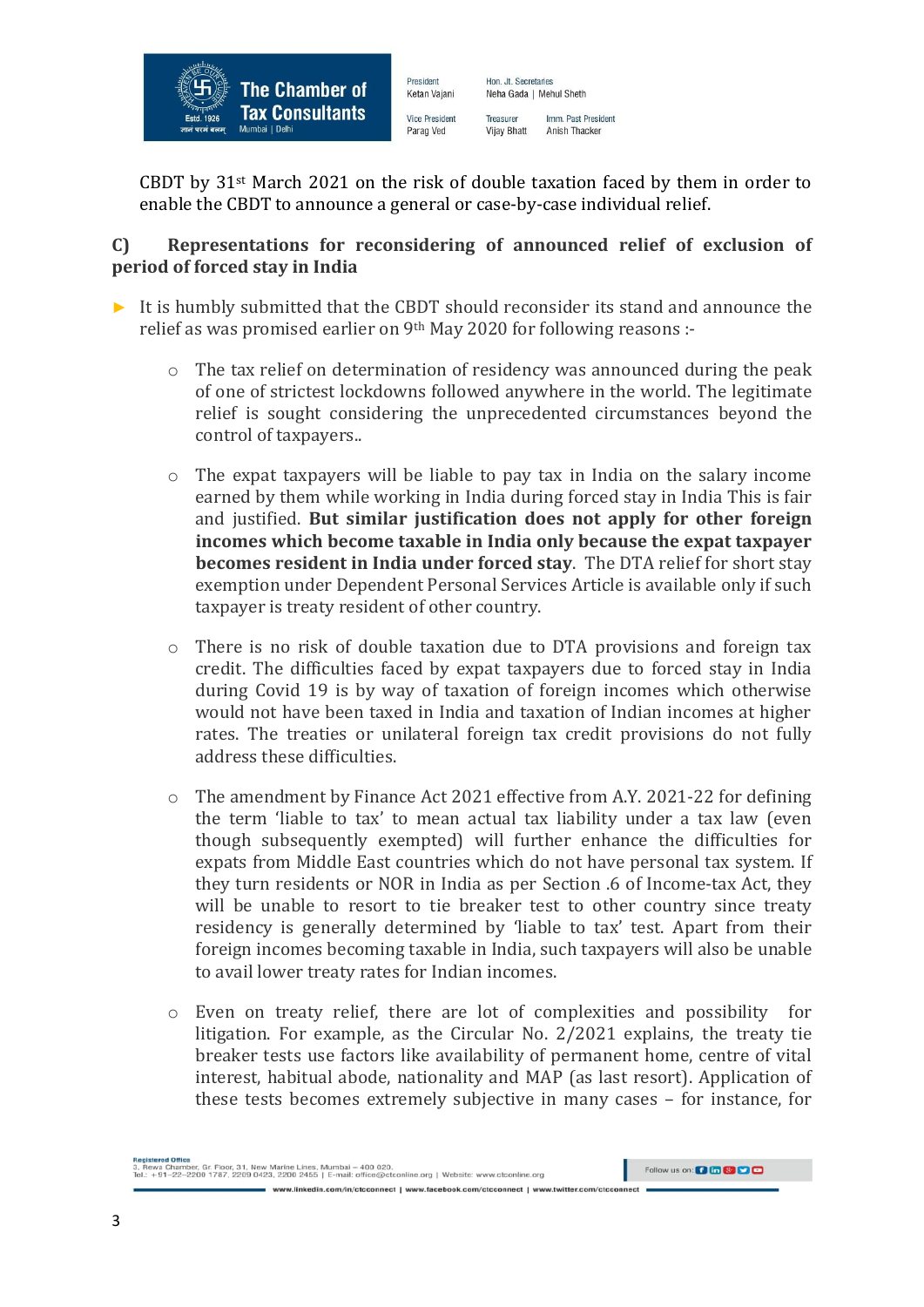

Ketan Vajani **Vice President** Parag Ved

President

Neha Gada | Mehul Sheth Imm. Past President Treasurer Anish Thacker **Vijay Bhatt** 

Hon, Jt. Secretaries

CBDT by  $31<sup>st</sup>$  March 2021 on the risk of double taxation faced by them in order to enable the CBDT to announce a general or case-by-case individual relief.

### **C) Representations for reconsidering of announced relief of exclusion of period of forced stay in India**

- ► It is humbly submitted that the CBDT should reconsider its stand and announce the relief as was promised earlier on 9<sup>th</sup> May 2020 for following reasons :
	- o The tax relief on determination of residency was announced during the peak of one of strictest lockdowns followed anywhere in the world. The legitimate relief is sought considering the unprecedented circumstances beyond the control of taxpayers..
	- o The expat taxpayers will be liable to pay tax in India on the salary income earned by them while working in India during forced stay in India This is fair and justified. **But similar justification does not apply for other foreign incomes which become taxable in India only because the expat taxpayer becomes resident in India under forced stay**. The DTA relief for short stay exemption under Dependent Personal Services Article is available only if such taxpayer is treaty resident of other country.
	- o There is no risk of double taxation due to DTA provisions and foreign tax credit. The difficulties faced by expat taxpayers due to forced stay in India during Covid 19 is by way of taxation of foreign incomes which otherwise would not have been taxed in India and taxation of Indian incomes at higher rates. The treaties or unilateral foreign tax credit provisions do not fully address these difficulties.
	- $\circ$  The amendment by Finance Act 2021 effective from A.Y. 2021-22 for defining the term 'liable to tax' to mean actual tax liability under a tax law (even though subsequently exempted) will further enhance the difficulties for expats from Middle East countries which do not have personal tax system. If they turn residents or NOR in India as per Section .6 of Income-tax Act, they will be unable to resort to tie breaker test to other country since treaty residency is generally determined by 'liable to tax' test. Apart from their foreign incomes becoming taxable in India, such taxpayers will also be unable to avail lower treaty rates for Indian incomes.
	- o Even on treaty relief, there are lot of complexities and possibility for litigation. For example, as the Circular No. 2/2021 explains, the treaty tie breaker tests use factors like availability of permanent home, centre of vital interest, habitual abode, nationality and MAP (as last resort). Application of these tests becomes extremely subjective in many cases – for instance, for